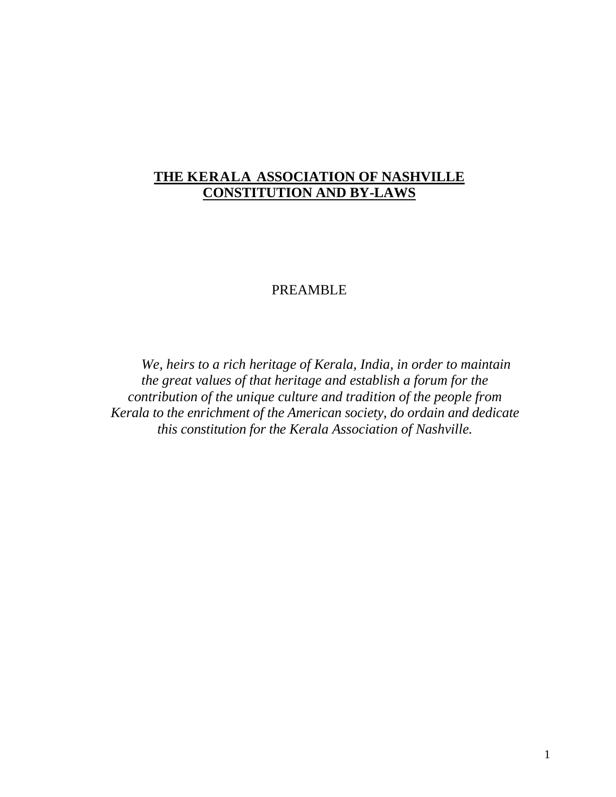# **THE KERALA ASSOCIATION OF NASHVILLE CONSTITUTION AND BY-LAWS**

# PREAMBLE

*We, heirs to a rich heritage of Kerala, India, in order to maintain the great values of that heritage and establish a forum for the contribution of the unique culture and tradition of the people from Kerala to the enrichment of the American society, do ordain and dedicate this constitution for the Kerala Association of Nashville.*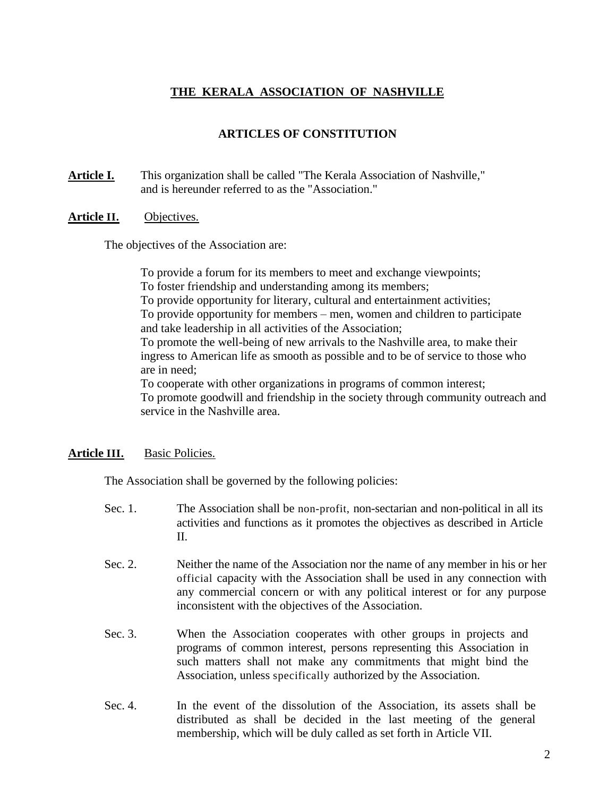# **THE KERALA ASSOCIATION OF NASHVILLE**

# **ARTICLES OF CONSTITUTION**

**Article I.** This organization shall be called "The Kerala Association of Nashville," and is hereunder referred to as the "Association."

#### **Article II.** Objectives.

The objectives of the Association are:

service in the Nashville area.

To provide a forum for its members to meet and exchange viewpoints; To foster friendship and understanding among its members; To provide opportunity for literary, cultural and entertainment activities; To provide opportunity for members – men, women and children to participate and take leadership in all activities of the Association; To promote the well-being of new arrivals to the Nashville area, to make their ingress to American life as smooth as possible and to be of service to those who are in need; To cooperate with other organizations in programs of common interest; To promote goodwill and friendship in the society through community outreach and

## **Article III.** Basic Policies.

The Association shall be governed by the following policies:

- Sec. 1. The Association shall be non-profit, non-sectarian and non-political in all its activities and functions as it promotes the objectives as described in Article II.
- Sec. 2. Neither the name of the Association nor the name of any member in his or her official capacity with the Association shall be used in any connection with any commercial concern or with any political interest or for any purpose inconsistent with the objectives of the Association.
- Sec. 3. When the Association cooperates with other groups in projects and programs of common interest, persons representing this Association in such matters shall not make any commitments that might bind the Association, unless specifically authorized by the Association.
- Sec. 4. In the event of the dissolution of the Association, its assets shall be distributed as shall be decided in the last meeting of the general membership, which will be duly called as set forth in Article VII.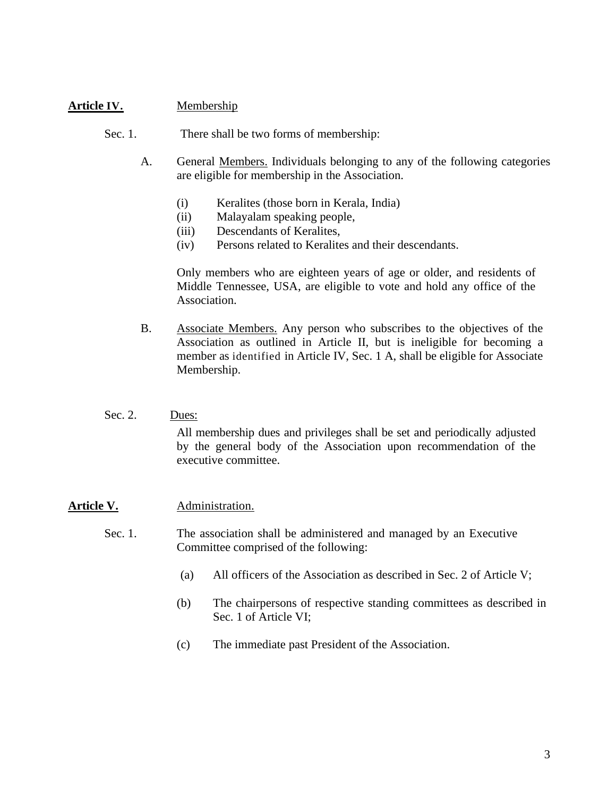# **Article IV.** Membership

- Sec. 1. There shall be two forms of membership:
	- A. General Members. Individuals belonging to any of the following categories are eligible for membership in the Association.
		- (i) Keralites (those born in Kerala, India)
		- (ii) Malayalam speaking people,
		- (iii) Descendants of Keralites,
		- (iv) Persons related to Keralites and their descendants.

Only members who are eighteen years of age or older, and residents of Middle Tennessee, USA, are eligible to vote and hold any office of the Association.

- B. Associate Members. Any person who subscribes to the objectives of the Association as outlined in Article II, but is ineligible for becoming a member as identified in Article IV, Sec. 1 A, shall be eligible for Associate Membership.
- Sec. 2. Dues: All membership dues and privileges shall be set and periodically adjusted by the general body of the Association upon recommendation of the executive committee.

## Article V. Administration.

- Sec. 1. The association shall be administered and managed by an Executive Committee comprised of the following:
	- (a) All officers of the Association as described in Sec. 2 of Article V;
	- (b) The chairpersons of respective standing committees as described in Sec. 1 of Article VI;
	- (c) The immediate past President of the Association.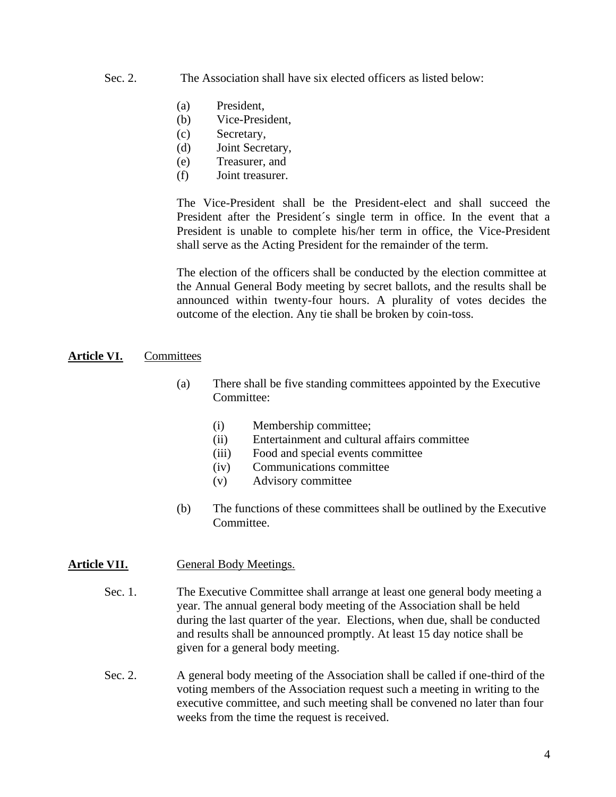- Sec. 2. The Association shall have six elected officers as listed below:
	- (a) President,
	- (b) Vice-President,
	- (c) Secretary,
	- (d) Joint Secretary,
	- (e) Treasurer, and
	- (f) Joint treasurer.

The Vice-President shall be the President-elect and shall succeed the President after the President´s single term in office. In the event that a President is unable to complete his/her term in office, the Vice-President shall serve as the Acting President for the remainder of the term.

The election of the officers shall be conducted by the election committee at the Annual General Body meeting by secret ballots, and the results shall be announced within twenty-four hours. A plurality of votes decides the outcome of the election. Any tie shall be broken by coin-toss.

#### **Article VI.** Committees

- (a) There shall be five standing committees appointed by the Executive Committee:
	- (i) Membership committee;
	- (ii) Entertainment and cultural affairs committee
	- (iii) Food and special events committee
	- (iv) Communications committee
	- (v) Advisory committee
- (b) The functions of these committees shall be outlined by the Executive Committee.

#### Article VII. General Body Meetings.

- Sec. 1. The Executive Committee shall arrange at least one general body meeting a year. The annual general body meeting of the Association shall be held during the last quarter of the year. Elections, when due, shall be conducted and results shall be announced promptly. At least 15 day notice shall be given for a general body meeting.
- Sec. 2. A general body meeting of the Association shall be called if one-third of the voting members of the Association request such a meeting in writing to the executive committee, and such meeting shall be convened no later than four weeks from the time the request is received.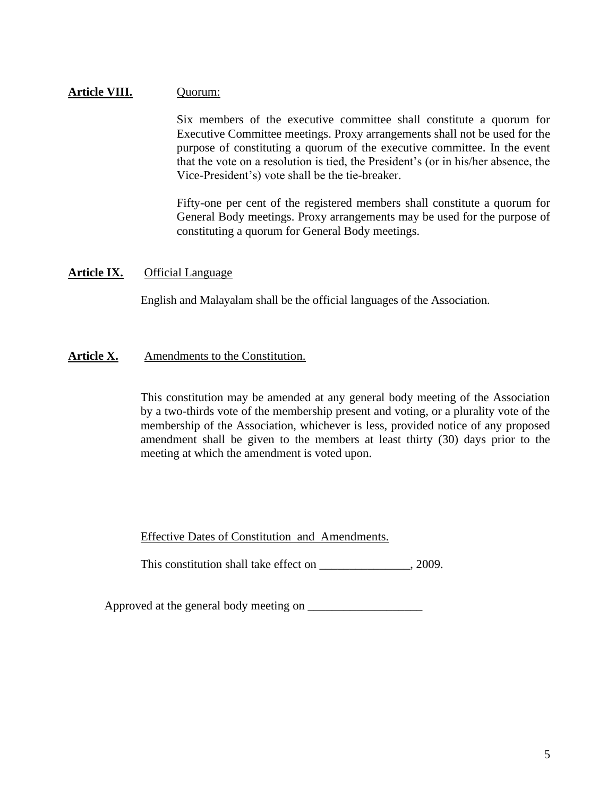# **Article VIII.** Quorum:

Six members of the executive committee shall constitute a quorum for Executive Committee meetings. Proxy arrangements shall not be used for the purpose of constituting a quorum of the executive committee. In the event that the vote on a resolution is tied, the President's (or in his/her absence, the Vice-President's) vote shall be the tie-breaker.

Fifty-one per cent of the registered members shall constitute a quorum for General Body meetings. Proxy arrangements may be used for the purpose of constituting a quorum for General Body meetings.

# **Article IX.** Official Language

English and Malayalam shall be the official languages of the Association.

## Article X. Amendments to the Constitution.

This constitution may be amended at any general body meeting of the Association by a two-thirds vote of the membership present and voting, or a plurality vote of the membership of the Association, whichever is less, provided notice of any proposed amendment shall be given to the members at least thirty (30) days prior to the meeting at which the amendment is voted upon.

## Effective Dates of Constitution and Amendments.

This constitution shall take effect on \_\_\_\_\_\_\_\_\_\_\_\_\_\_\_\_, 2009.

Approved at the general body meeting on \_\_\_\_\_\_\_\_\_\_\_\_\_\_\_\_\_\_\_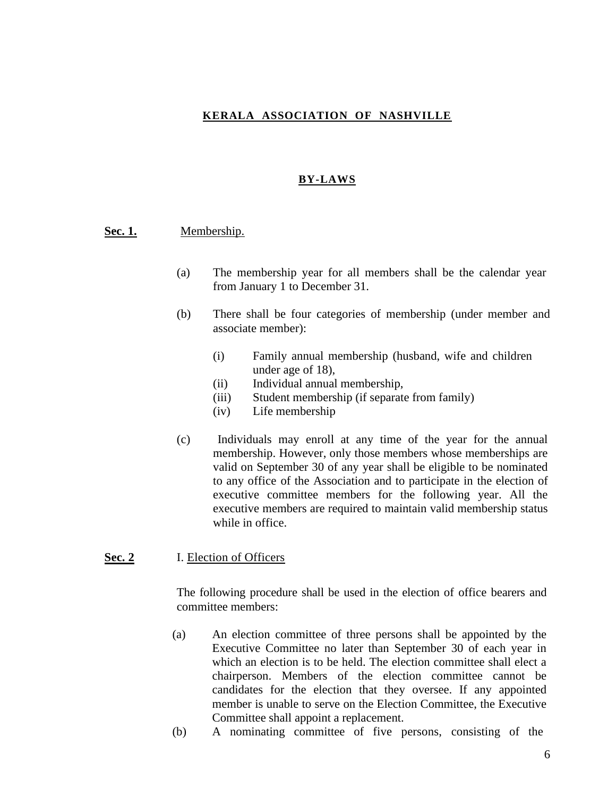# **KERALA ASSOCIATION OF NASHVILLE**

#### **BY-LAWS**

#### **Sec. 1.** Membership.

- (a) The membership year for all members shall be the calendar year from January 1 to December 31.
- (b) There shall be four categories of membership (under member and associate member):
	- (i) Family annual membership (husband, wife and children under age of 18),
	- (ii) Individual annual membership,
	- (iii) Student membership (if separate from family)
	- (iv) Life membership
- (c) Individuals may enroll at any time of the year for the annual membership. However, only those members whose memberships are valid on September 30 of any year shall be eligible to be nominated to any office of the Association and to participate in the election of executive committee members for the following year. All the executive members are required to maintain valid membership status while in office.

#### **Sec. 2** I. Election of Officers

The following procedure shall be used in the election of office bearers and committee members:

- (a) An election committee of three persons shall be appointed by the Executive Committee no later than September 30 of each year in which an election is to be held. The election committee shall elect a chairperson. Members of the election committee cannot be candidates for the election that they oversee. If any appointed member is unable to serve on the Election Committee, the Executive Committee shall appoint a replacement.
- (b) A nominating committee of five persons, consisting of the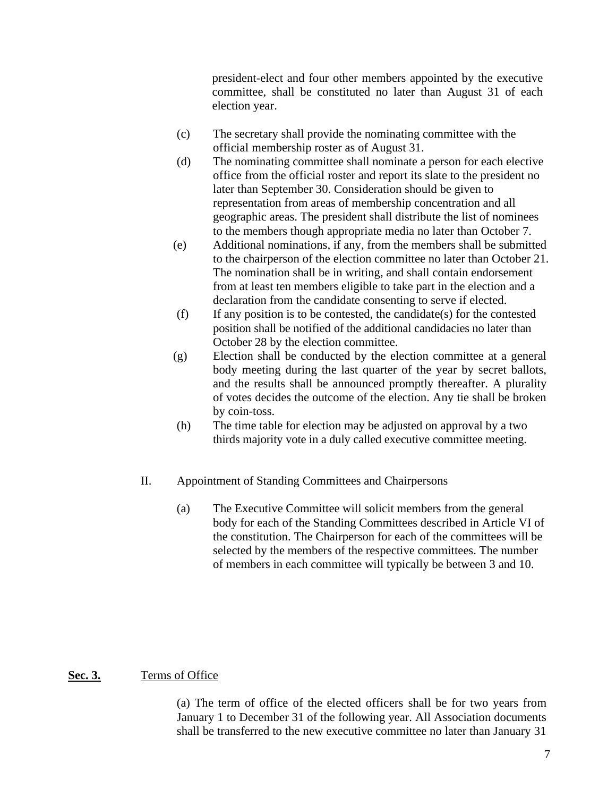president-elect and four other members appointed by the executive committee, shall be constituted no later than August 31 of each election year.

- (c) The secretary shall provide the nominating committee with the official membership roster as of August 31.
- (d) The nominating committee shall nominate a person for each elective office from the official roster and report its slate to the president no later than September 30. Consideration should be given to representation from areas of membership concentration and all geographic areas. The president shall distribute the list of nominees to the members though appropriate media no later than October 7.
- (e) Additional nominations, if any, from the members shall be submitted to the chairperson of the election committee no later than October 21. The nomination shall be in writing, and shall contain endorsement from at least ten members eligible to take part in the election and a declaration from the candidate consenting to serve if elected.
- (f) If any position is to be contested, the candidate(s) for the contested position shall be notified of the additional candidacies no later than October 28 by the election committee.
- (g) Election shall be conducted by the election committee at a general body meeting during the last quarter of the year by secret ballots, and the results shall be announced promptly thereafter. A plurality of votes decides the outcome of the election. Any tie shall be broken by coin-toss.
- (h) The time table for election may be adjusted on approval by a two thirds majority vote in a duly called executive committee meeting.
- II. Appointment of Standing Committees and Chairpersons
	- (a) The Executive Committee will solicit members from the general body for each of the Standing Committees described in Article VI of the constitution. The Chairperson for each of the committees will be selected by the members of the respective committees. The number of members in each committee will typically be between 3 and 10.

## **Sec. 3.** Terms of Office

(a) The term of office of the elected officers shall be for two years from January 1 to December 31 of the following year. All Association documents shall be transferred to the new executive committee no later than January 31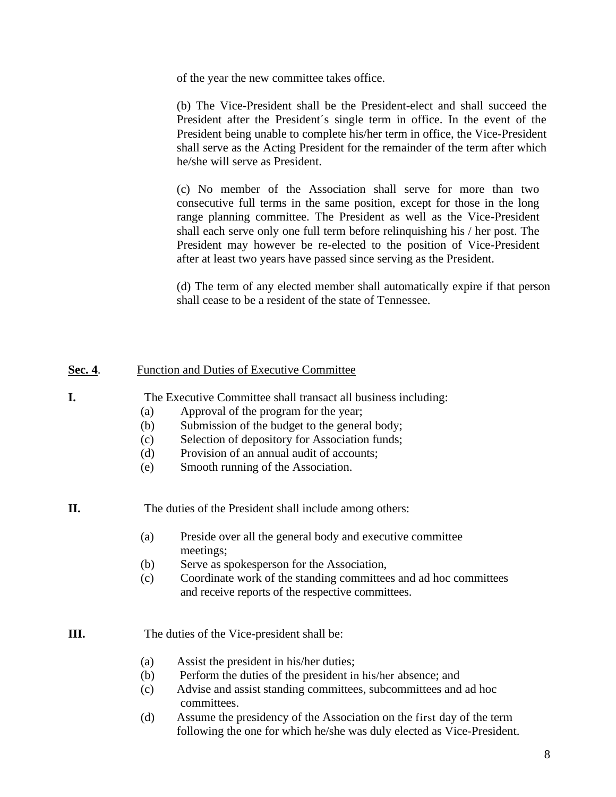of the year the new committee takes office.

(b) The Vice-President shall be the President-elect and shall succeed the President after the President´s single term in office. In the event of the President being unable to complete his/her term in office, the Vice-President shall serve as the Acting President for the remainder of the term after which he/she will serve as President.

(c) No member of the Association shall serve for more than two consecutive full terms in the same position, except for those in the long range planning committee. The President as well as the Vice-President shall each serve only one full term before relinquishing his / her post. The President may however be re-elected to the position of Vice-President after at least two years have passed since serving as the President.

(d) The term of any elected member shall automatically expire if that person shall cease to be a resident of the state of Tennessee.

#### **Sec. 4.** Function and Duties of Executive Committee

**I.** The Executive Committee shall transact all business including:

- (a) Approval of the program for the year;
- (b) Submission of the budget to the general body;
- (c) Selection of depository for Association funds;
- (d) Provision of an annual audit of accounts;
- (e) Smooth running of the Association.

**II.** The duties of the President shall include among others:

- (a) Preside over all the general body and executive committee meetings;
- (b) Serve as spokesperson for the Association,
- (c) Coordinate work of the standing committees and ad hoc committees and receive reports of the respective committees.

#### **III.** The duties of the Vice-president shall be:

- (a) Assist the president in his/her duties;
- (b) Perform the duties of the president in his/her absence; and
- (c) Advise and assist standing committees, subcommittees and ad hoc committees.
- (d) Assume the presidency of the Association on the first day of the term following the one for which he/she was duly elected as Vice-President.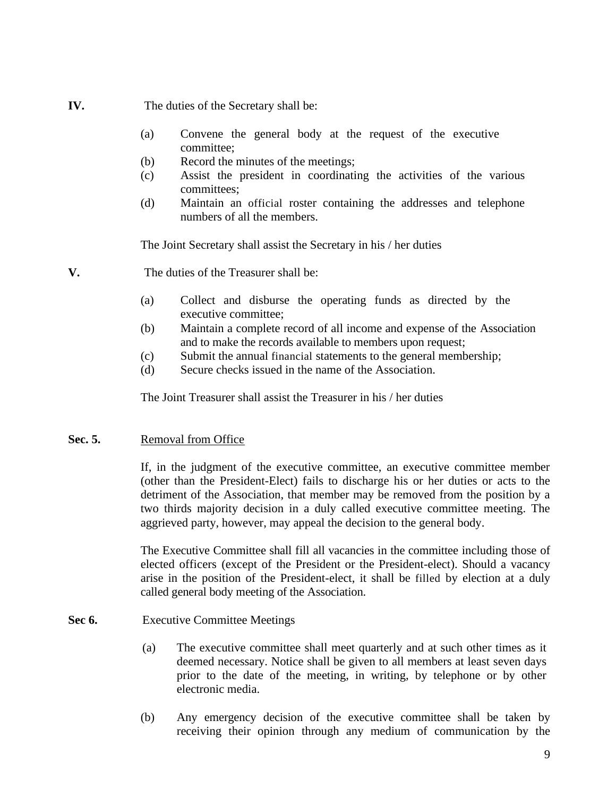- **IV.** The duties of the Secretary shall be:
	- (a) Convene the general body at the request of the executive committee;
	- (b) Record the minutes of the meetings;
	- (c) Assist the president in coordinating the activities of the various committees;
	- (d) Maintain an official roster containing the addresses and telephone numbers of all the members.

The Joint Secretary shall assist the Secretary in his / her duties

- **V.** The duties of the Treasurer shall be:
	- (a) Collect and disburse the operating funds as directed by the executive committee;
	- (b) Maintain a complete record of all income and expense of the Association and to make the records available to members upon request;
	- (c) Submit the annual financial statements to the general membership;
	- (d) Secure checks issued in the name of the Association.

The Joint Treasurer shall assist the Treasurer in his / her duties

# Sec. 5. Removal from Office

If, in the judgment of the executive committee, an executive committee member (other than the President-Elect) fails to discharge his or her duties or acts to the detriment of the Association, that member may be removed from the position by a two thirds majority decision in a duly called executive committee meeting. The aggrieved party, however, may appeal the decision to the general body.

The Executive Committee shall fill all vacancies in the committee including those of elected officers (except of the President or the President-elect). Should a vacancy arise in the position of the President-elect, it shall be filled by election at a duly called general body meeting of the Association.

## Sec 6. Executive Committee Meetings

- (a) The executive committee shall meet quarterly and at such other times as it deemed necessary. Notice shall be given to all members at least seven days prior to the date of the meeting, in writing, by telephone or by other electronic media.
- (b) Any emergency decision of the executive committee shall be taken by receiving their opinion through any medium of communication by the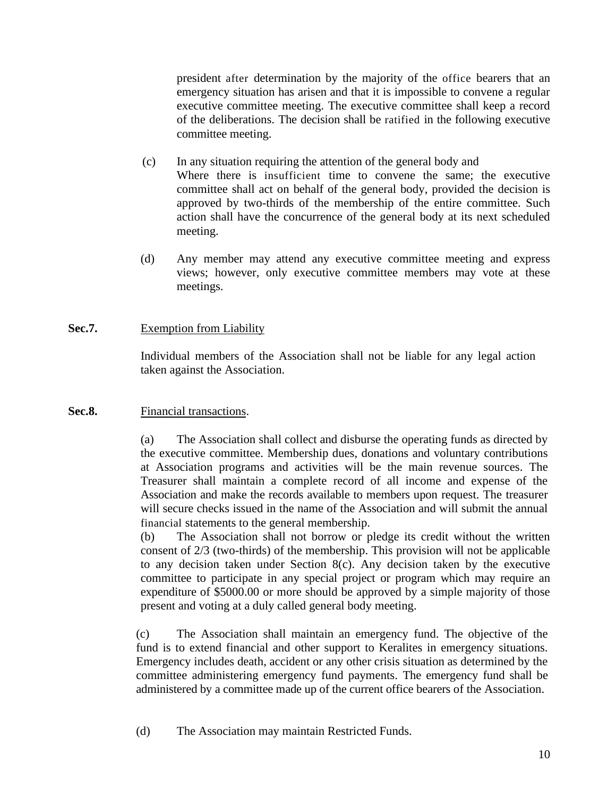president after determination by the majority of the office bearers that an emergency situation has arisen and that it is impossible to convene a regular executive committee meeting. The executive committee shall keep a record of the deliberations. The decision shall be ratified in the following executive committee meeting.

- (c) In any situation requiring the attention of the general body and Where there is insufficient time to convene the same; the executive committee shall act on behalf of the general body, provided the decision is approved by two-thirds of the membership of the entire committee. Such action shall have the concurrence of the general body at its next scheduled meeting.
- (d) Any member may attend any executive committee meeting and express views; however, only executive committee members may vote at these meetings.

## **Sec.7.** Exemption from Liability

Individual members of the Association shall not be liable for any legal action taken against the Association.

## Sec.8. Financial transactions.

(a) The Association shall collect and disburse the operating funds as directed by the executive committee. Membership dues, donations and voluntary contributions at Association programs and activities will be the main revenue sources. The Treasurer shall maintain a complete record of all income and expense of the Association and make the records available to members upon request. The treasurer will secure checks issued in the name of the Association and will submit the annual financial statements to the general membership.

(b) The Association shall not borrow or pledge its credit without the written consent of 2/3 (two-thirds) of the membership. This provision will not be applicable to any decision taken under Section 8(c). Any decision taken by the executive committee to participate in any special project or program which may require an expenditure of \$5000.00 or more should be approved by a simple majority of those present and voting at a duly called general body meeting.

(c) The Association shall maintain an emergency fund. The objective of the fund is to extend financial and other support to Keralites in emergency situations. Emergency includes death, accident or any other crisis situation as determined by the committee administering emergency fund payments. The emergency fund shall be administered by a committee made up of the current office bearers of the Association.

(d) The Association may maintain Restricted Funds.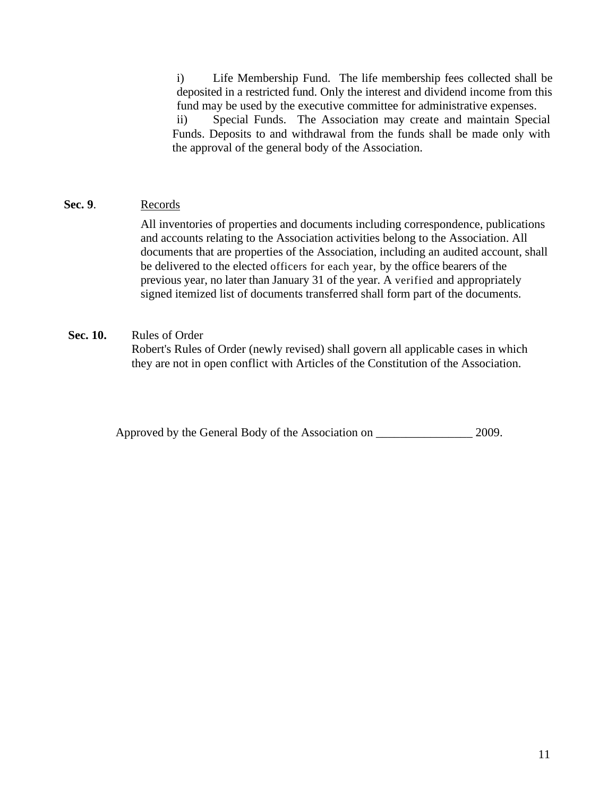i) Life Membership Fund. The life membership fees collected shall be deposited in a restricted fund. Only the interest and dividend income from this fund may be used by the executive committee for administrative expenses.

ii) Special Funds. The Association may create and maintain Special Funds. Deposits to and withdrawal from the funds shall be made only with the approval of the general body of the Association.

# **Sec. 9**. Records

All inventories of properties and documents including correspondence, publications and accounts relating to the Association activities belong to the Association. All documents that are properties of the Association, including an audited account, shall be delivered to the elected officers for each year, by the office bearers of the previous year, no later than January 31 of the year. A verified and appropriately signed itemized list of documents transferred shall form part of the documents.

## **Sec. 10.** Rules of Order

Robert's Rules of Order (newly revised) shall govern all applicable cases in which they are not in open conflict with Articles of the Constitution of the Association.

Approved by the General Body of the Association on  $2009$ .